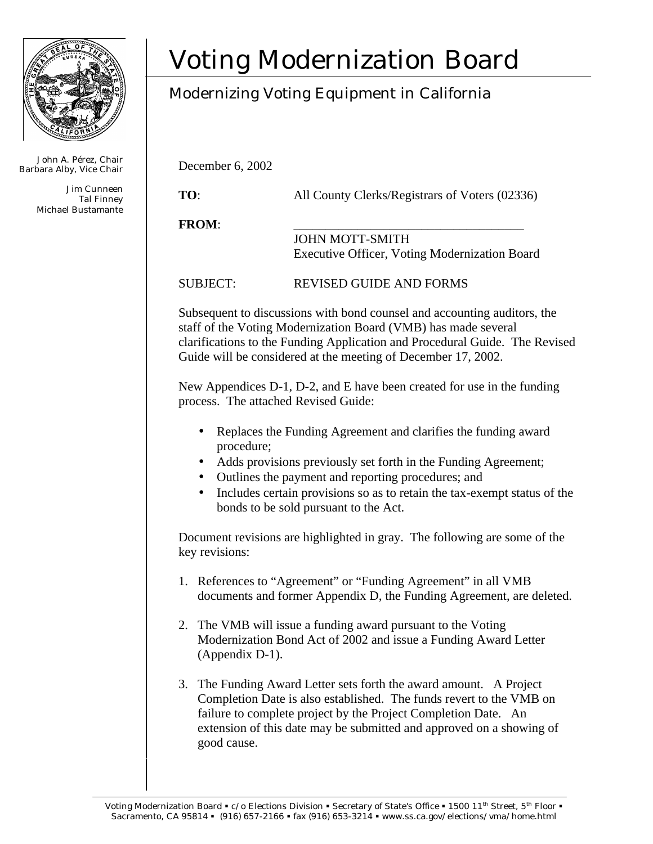

John A. Pérez, Chair Barbara Alby, Vice Chair

> Jim Cunneen Tal Finney Michael Bustamante

## Voting Modernization Board

## Modernizing Voting Equipment in California

December 6, 2002

**TO**: All County Clerks/Registrars of Voters (02336)

**FROM**: \_\_\_\_\_\_\_\_\_\_\_\_\_\_\_\_\_\_\_\_\_\_\_\_\_\_\_\_\_\_\_\_\_\_\_\_

JOHN MOTT-SMITH Executive Officer, Voting Modernization Board

SUBJECT: REVISED GUIDE AND FORMS

Subsequent to discussions with bond counsel and accounting auditors, the staff of the Voting Modernization Board (VMB) has made several clarifications to the Funding Application and Procedural Guide. The Revised Guide will be considered at the meeting of December 17, 2002.

New Appendices D-1, D-2, and E have been created for use in the funding process. The attached Revised Guide:

- Replaces the Funding Agreement and clarifies the funding award procedure;
- Adds provisions previously set forth in the Funding Agreement;
- Outlines the payment and reporting procedures; and
- Includes certain provisions so as to retain the tax-exempt status of the bonds to be sold pursuant to the Act.

Document revisions are highlighted in gray. The following are some of the key revisions:

- 1. References to "Agreement" or "Funding Agreement" in all VMB documents and former Appendix D, the Funding Agreement, are deleted.
- 2. The VMB will issue a funding award pursuant to the Voting Modernization Bond Act of 2002 and issue a Funding Award Letter (Appendix D-1).
- 3. The Funding Award Letter sets forth the award amount. A Project Completion Date is also established. The funds revert to the VMB on failure to complete project by the Project Completion Date. An extension of this date may be submitted and approved on a showing of good cause.